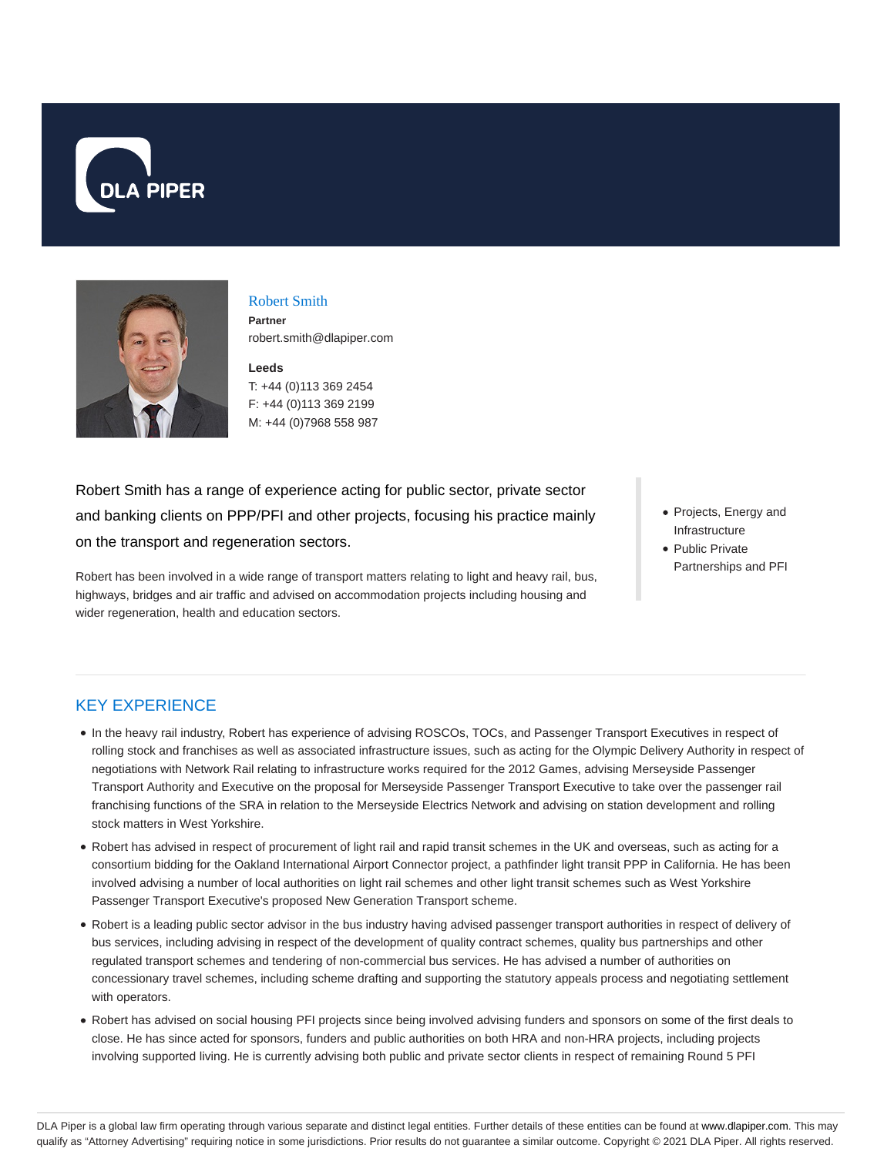



### Robert Smith **Partner**

robert.smith@dlapiper.com

**Leeds** T: +44 (0)113 369 2454 F: +44 (0)113 369 2199 M: +44 (0)7968 558 987

Robert Smith has a range of experience acting for public sector, private sector and banking clients on PPP/PFI and other projects, focusing his practice mainly on the transport and regeneration sectors.

Robert has been involved in a wide range of transport matters relating to light and heavy rail, bus, highways, bridges and air traffic and advised on accommodation projects including housing and wider regeneration, health and education sectors.

- Projects, Energy and Infrastructure
- Public Private Partnerships and PFI

# KEY EXPERIENCE

- In the heavy rail industry, Robert has experience of advising ROSCOs, TOCs, and Passenger Transport Executives in respect of rolling stock and franchises as well as associated infrastructure issues, such as acting for the Olympic Delivery Authority in respect of negotiations with Network Rail relating to infrastructure works required for the 2012 Games, advising Merseyside Passenger Transport Authority and Executive on the proposal for Merseyside Passenger Transport Executive to take over the passenger rail franchising functions of the SRA in relation to the Merseyside Electrics Network and advising on station development and rolling stock matters in West Yorkshire.
- Robert has advised in respect of procurement of light rail and rapid transit schemes in the UK and overseas, such as acting for a consortium bidding for the Oakland International Airport Connector project, a pathfinder light transit PPP in California. He has been involved advising a number of local authorities on light rail schemes and other light transit schemes such as West Yorkshire Passenger Transport Executive's proposed New Generation Transport scheme.
- Robert is a leading public sector advisor in the bus industry having advised passenger transport authorities in respect of delivery of bus services, including advising in respect of the development of quality contract schemes, quality bus partnerships and other regulated transport schemes and tendering of non-commercial bus services. He has advised a number of authorities on concessionary travel schemes, including scheme drafting and supporting the statutory appeals process and negotiating settlement with operators.
- Robert has advised on social housing PFI projects since being involved advising funders and sponsors on some of the first deals to close. He has since acted for sponsors, funders and public authorities on both HRA and non-HRA projects, including projects involving supported living. He is currently advising both public and private sector clients in respect of remaining Round 5 PFI

DLA Piper is a global law firm operating through various separate and distinct legal entities. Further details of these entities can be found at www.dlapiper.com. This may qualify as "Attorney Advertising" requiring notice in some jurisdictions. Prior results do not guarantee a similar outcome. Copyright © 2021 DLA Piper. All rights reserved.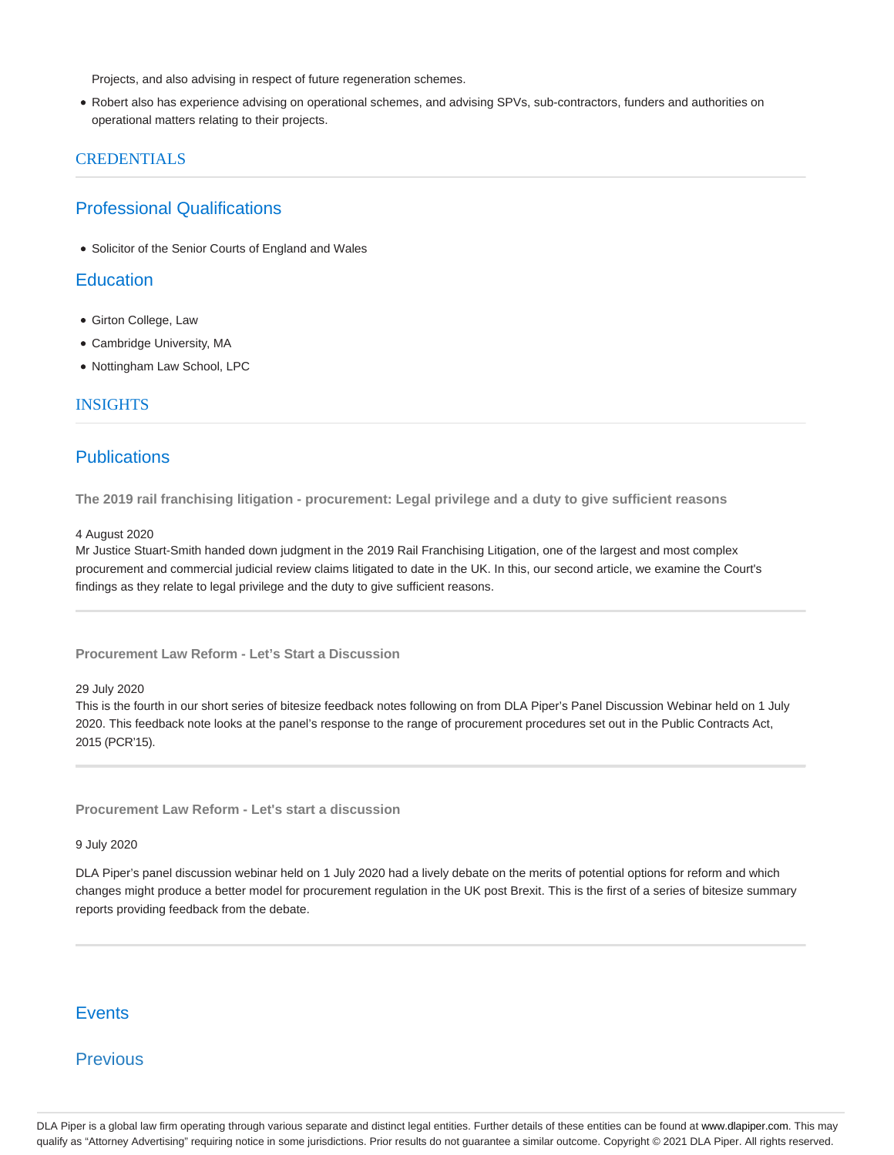Projects, and also advising in respect of future regeneration schemes.

Robert also has experience advising on operational schemes, and advising SPVs, sub-contractors, funders and authorities on operational matters relating to their projects.

### **CREDENTIALS**

## Professional Qualifications

Solicitor of the Senior Courts of England and Wales

## **Education**

- Girton College, Law
- Cambridge University, MA
- Nottingham Law School, LPC

### **INSIGHTS**

## **Publications**

**The 2019 rail franchising litigation - procurement: Legal privilege and a duty to give sufficient reasons**

#### 4 August 2020

Mr Justice Stuart-Smith handed down judgment in the 2019 Rail Franchising Litigation, one of the largest and most complex procurement and commercial judicial review claims litigated to date in the UK. In this, our second article, we examine the Court's findings as they relate to legal privilege and the duty to give sufficient reasons.

### **Procurement Law Reform - Let's Start a Discussion**

### 29 July 2020

This is the fourth in our short series of bitesize feedback notes following on from DLA Piper's Panel Discussion Webinar held on 1 July 2020. This feedback note looks at the panel's response to the range of procurement procedures set out in the Public Contracts Act, 2015 (PCR'15).

**Procurement Law Reform - Let's start a discussion**

#### 9 July 2020

DLA Piper's panel discussion webinar held on 1 July 2020 had a lively debate on the merits of potential options for reform and which changes might produce a better model for procurement regulation in the UK post Brexit. This is the first of a series of bitesize summary reports providing feedback from the debate.

## **Events**

## Previous

DLA Piper is a global law firm operating through various separate and distinct legal entities. Further details of these entities can be found at www.dlapiper.com. This may qualify as "Attorney Advertising" requiring notice in some jurisdictions. Prior results do not guarantee a similar outcome. Copyright @ 2021 DLA Piper. All rights reserved.